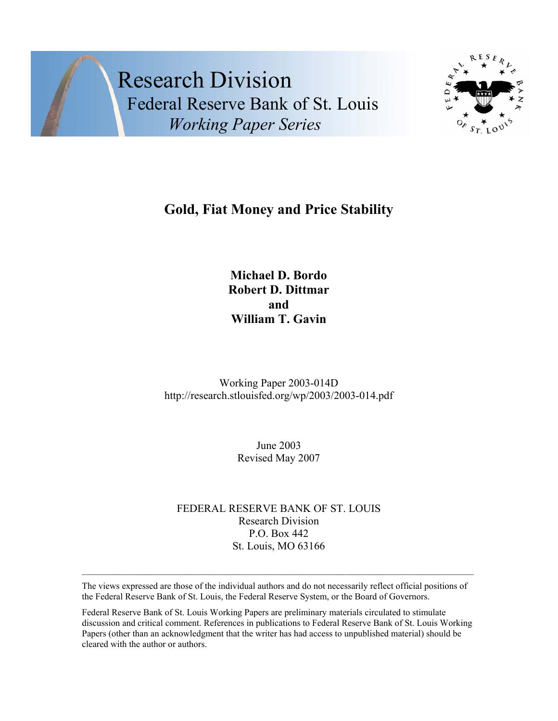Research Division Federal Reserve Bank of St. Louis  *Working Paper Series* 



# **Gold, Fiat Money and Price Stability**

**Michael D. Bordo Robert D. Dittmar and William T. Gavin** 

Working Paper 2003-014D http://research.stlouisfed.org/wp/2003/2003-014.pdf

> June 2003 Revised May 2007

FEDERAL RESERVE BANK OF ST. LOUIS Research Division P.O. Box 442 St. Louis, MO 63166

The views expressed are those of the individual authors and do not necessarily reflect official positions of the Federal Reserve Bank of St. Louis, the Federal Reserve System, or the Board of Governors.

Federal Reserve Bank of St. Louis Working Papers are preliminary materials circulated to stimulate discussion and critical comment. References in publications to Federal Reserve Bank of St. Louis Working Papers (other than an acknowledgment that the writer has had access to unpublished material) should be cleared with the author or authors.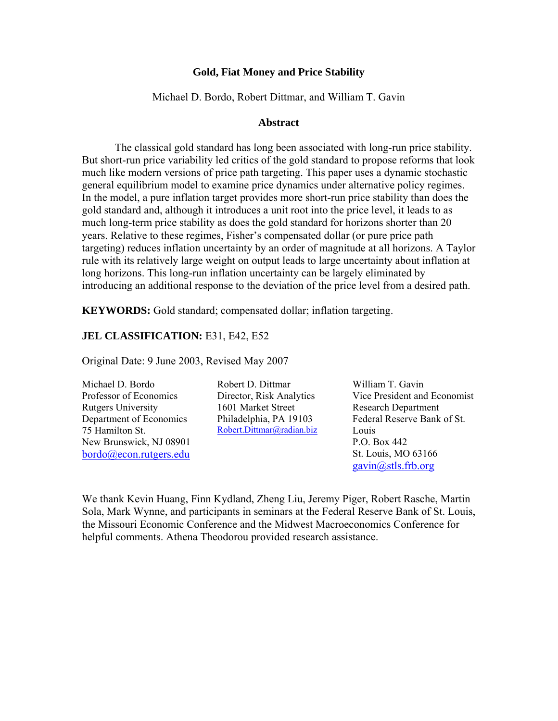# **Gold, Fiat Money and Price Stability**

Michael D. Bordo, Robert Dittmar, and William T. Gavin

#### **Abstract**

The classical gold standard has long been associated with long-run price stability. But short-run price variability led critics of the gold standard to propose reforms that look much like modern versions of price path targeting. This paper uses a dynamic stochastic general equilibrium model to examine price dynamics under alternative policy regimes. In the model, a pure inflation target provides more short-run price stability than does the gold standard and, although it introduces a unit root into the price level, it leads to as much long-term price stability as does the gold standard for horizons shorter than 20 years. Relative to these regimes, Fisher's compensated dollar (or pure price path targeting) reduces inflation uncertainty by an order of magnitude at all horizons. A Taylor rule with its relatively large weight on output leads to large uncertainty about inflation at long horizons. This long-run inflation uncertainty can be largely eliminated by introducing an additional response to the deviation of the price level from a desired path.

**KEYWORDS:** Gold standard; compensated dollar; inflation targeting.

# **JEL CLASSIFICATION:** E31, E42, E52

Original Date: 9 June 2003, Revised May 2007

Michael D. Bordo Professor of Economics Rutgers University Department of Economics 75 Hamilton St. New Brunswick, NJ 08901 bordo@econ.rutgers.edu Robert D. Dittmar Director, Risk Analytics 1601 Market Street Philadelphia, PA 19103 Robert.Dittmar@radian.biz

William T. Gavin Vice President and Economist Research Department Federal Reserve Bank of St. Louis P.O. Box 442 St. Louis, MO 63166 gavin@stls.frb.org

We thank Kevin Huang, Finn Kydland, Zheng Liu, Jeremy Piger, Robert Rasche, Martin Sola, Mark Wynne, and participants in seminars at the Federal Reserve Bank of St. Louis, the Missouri Economic Conference and the Midwest Macroeconomics Conference for helpful comments. Athena Theodorou provided research assistance.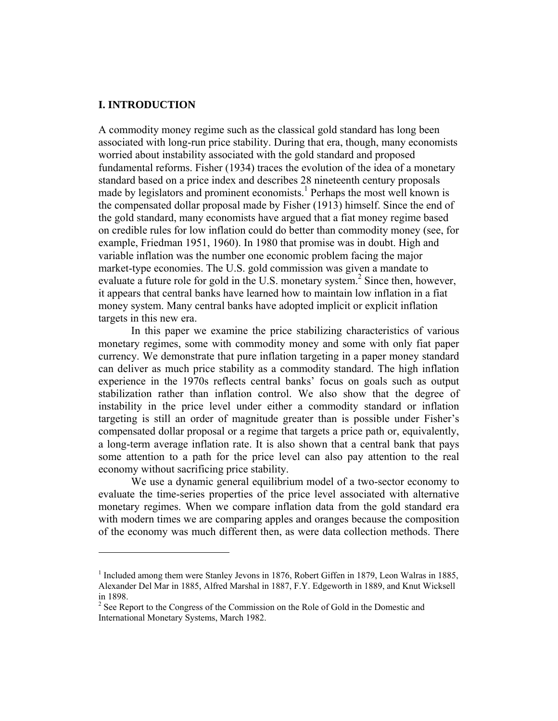# **I. INTRODUCTION**

1

A commodity money regime such as the classical gold standard has long been associated with long-run price stability. During that era, though, many economists worried about instability associated with the gold standard and proposed fundamental reforms. Fisher (1934) traces the evolution of the idea of a monetary standard based on a price index and describes 28 nineteenth century proposals made by legislators and prominent economists.<sup>1</sup> Perhaps the most well known is the compensated dollar proposal made by Fisher (1913) himself. Since the end of the gold standard, many economists have argued that a fiat money regime based on credible rules for low inflation could do better than commodity money (see, for example, Friedman 1951, 1960). In 1980 that promise was in doubt. High and variable inflation was the number one economic problem facing the major market-type economies. The U.S. gold commission was given a mandate to evaluate a future role for gold in the U.S. monetary system.<sup>2</sup> Since then, however, it appears that central banks have learned how to maintain low inflation in a fiat money system. Many central banks have adopted implicit or explicit inflation targets in this new era.

In this paper we examine the price stabilizing characteristics of various monetary regimes, some with commodity money and some with only fiat paper currency. We demonstrate that pure inflation targeting in a paper money standard can deliver as much price stability as a commodity standard. The high inflation experience in the 1970s reflects central banks' focus on goals such as output stabilization rather than inflation control. We also show that the degree of instability in the price level under either a commodity standard or inflation targeting is still an order of magnitude greater than is possible under Fisher's compensated dollar proposal or a regime that targets a price path or, equivalently, a long-term average inflation rate. It is also shown that a central bank that pays some attention to a path for the price level can also pay attention to the real economy without sacrificing price stability.

We use a dynamic general equilibrium model of a two-sector economy to evaluate the time-series properties of the price level associated with alternative monetary regimes. When we compare inflation data from the gold standard era with modern times we are comparing apples and oranges because the composition of the economy was much different then, as were data collection methods. There

<sup>&</sup>lt;sup>1</sup> Included among them were Stanley Jevons in 1876, Robert Giffen in 1879, Leon Walras in 1885, Alexander Del Mar in 1885, Alfred Marshal in 1887, F.Y. Edgeworth in 1889, and Knut Wicksell in 1898.

 $2^2$  See Report to the Congress of the Commission on the Role of Gold in the Domestic and International Monetary Systems, March 1982.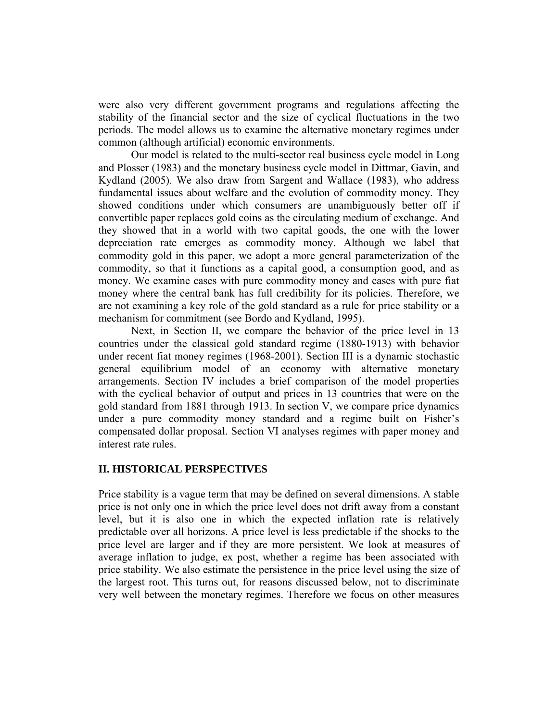were also very different government programs and regulations affecting the stability of the financial sector and the size of cyclical fluctuations in the two periods. The model allows us to examine the alternative monetary regimes under common (although artificial) economic environments.

Our model is related to the multi-sector real business cycle model in Long and Plosser (1983) and the monetary business cycle model in Dittmar, Gavin, and Kydland (2005). We also draw from Sargent and Wallace (1983), who address fundamental issues about welfare and the evolution of commodity money. They showed conditions under which consumers are unambiguously better off if convertible paper replaces gold coins as the circulating medium of exchange. And they showed that in a world with two capital goods, the one with the lower depreciation rate emerges as commodity money. Although we label that commodity gold in this paper, we adopt a more general parameterization of the commodity, so that it functions as a capital good, a consumption good, and as money. We examine cases with pure commodity money and cases with pure fiat money where the central bank has full credibility for its policies. Therefore, we are not examining a key role of the gold standard as a rule for price stability or a mechanism for commitment (see Bordo and Kydland, 1995).

Next, in Section II, we compare the behavior of the price level in 13 countries under the classical gold standard regime (1880-1913) with behavior under recent fiat money regimes (1968-2001). Section III is a dynamic stochastic general equilibrium model of an economy with alternative monetary arrangements. Section IV includes a brief comparison of the model properties with the cyclical behavior of output and prices in 13 countries that were on the gold standard from 1881 through 1913. In section V, we compare price dynamics under a pure commodity money standard and a regime built on Fisher's compensated dollar proposal. Section VI analyses regimes with paper money and interest rate rules.

#### **II. HISTORICAL PERSPECTIVES**

Price stability is a vague term that may be defined on several dimensions. A stable price is not only one in which the price level does not drift away from a constant level, but it is also one in which the expected inflation rate is relatively predictable over all horizons. A price level is less predictable if the shocks to the price level are larger and if they are more persistent. We look at measures of average inflation to judge, ex post, whether a regime has been associated with price stability. We also estimate the persistence in the price level using the size of the largest root. This turns out, for reasons discussed below, not to discriminate very well between the monetary regimes. Therefore we focus on other measures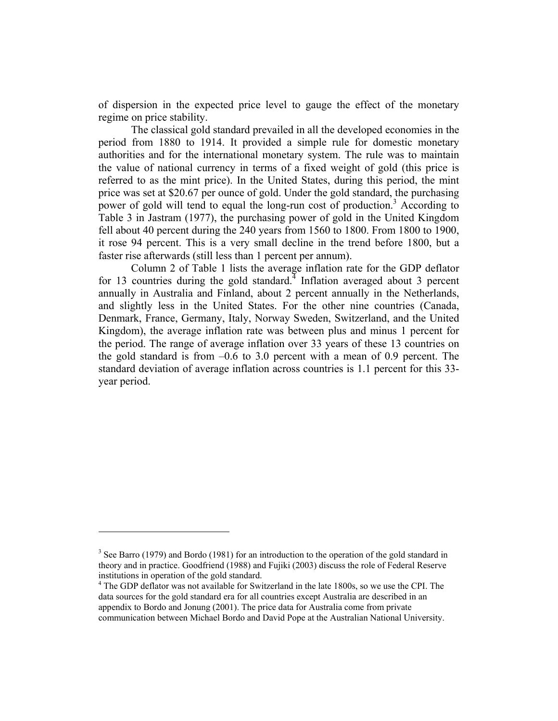of dispersion in the expected price level to gauge the effect of the monetary regime on price stability.

The classical gold standard prevailed in all the developed economies in the period from 1880 to 1914. It provided a simple rule for domestic monetary authorities and for the international monetary system. The rule was to maintain the value of national currency in terms of a fixed weight of gold (this price is referred to as the mint price). In the United States, during this period, the mint price was set at \$20.67 per ounce of gold. Under the gold standard, the purchasing power of gold will tend to equal the long-run cost of production.<sup>3</sup> According to Table 3 in Jastram (1977), the purchasing power of gold in the United Kingdom fell about 40 percent during the 240 years from 1560 to 1800. From 1800 to 1900, it rose 94 percent. This is a very small decline in the trend before 1800, but a faster rise afterwards (still less than 1 percent per annum).

Column 2 of Table 1 lists the average inflation rate for the GDP deflator for 13 countries during the gold standard. Inflation averaged about 3 percent annually in Australia and Finland, about 2 percent annually in the Netherlands, and slightly less in the United States. For the other nine countries (Canada, Denmark, France, Germany, Italy, Norway Sweden, Switzerland, and the United Kingdom), the average inflation rate was between plus and minus 1 percent for the period. The range of average inflation over 33 years of these 13 countries on the gold standard is from  $-0.6$  to 3.0 percent with a mean of 0.9 percent. The standard deviation of average inflation across countries is 1.1 percent for this 33 year period.

 $\overline{a}$ 

 $3$  See Barro (1979) and Bordo (1981) for an introduction to the operation of the gold standard in theory and in practice. Goodfriend (1988) and Fujiki (2003) discuss the role of Federal Reserve institutions in operation of the gold standard.

<sup>&</sup>lt;sup>4</sup> The GDP deflator was not available for Switzerland in the late 1800s, so we use the CPI. The data sources for the gold standard era for all countries except Australia are described in an appendix to Bordo and Jonung (2001). The price data for Australia come from private communication between Michael Bordo and David Pope at the Australian National University.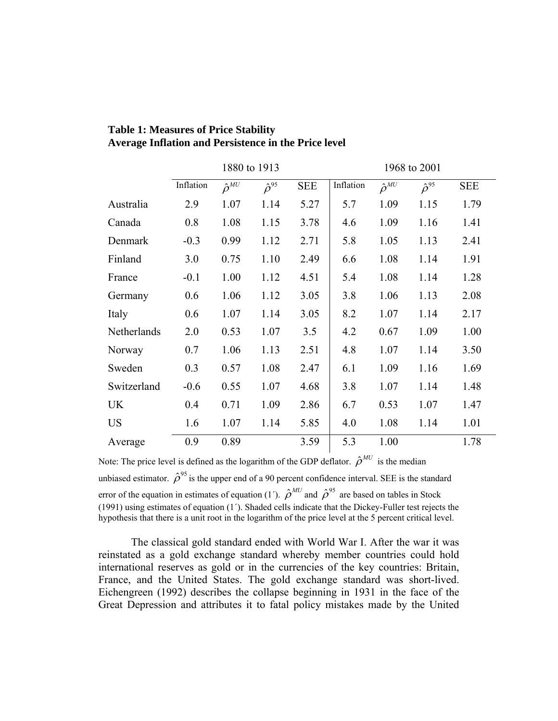|             | 1880 to 1913 |                   |                   | 1968 to 2001 |           |                   |                   |            |
|-------------|--------------|-------------------|-------------------|--------------|-----------|-------------------|-------------------|------------|
|             | Inflation    | $\hat{\rho}^{MU}$ | $\hat{\rho}^{95}$ | <b>SEE</b>   | Inflation | $\hat{\rho}^{MU}$ | $\hat{\rho}^{95}$ | <b>SEE</b> |
| Australia   | 2.9          | 1.07              | 1.14              | 5.27         | 5.7       | 1.09              | 1.15              | 1.79       |
| Canada      | 0.8          | 1.08              | 1.15              | 3.78         | 4.6       | 1.09              | 1.16              | 1.41       |
| Denmark     | $-0.3$       | 0.99              | 1.12              | 2.71         | 5.8       | 1.05              | 1.13              | 2.41       |
| Finland     | 3.0          | 0.75              | 1.10              | 2.49         | 6.6       | 1.08              | 1.14              | 1.91       |
| France      | $-0.1$       | 1.00              | 1.12              | 4.51         | 5.4       | 1.08              | 1.14              | 1.28       |
| Germany     | 0.6          | 1.06              | 1.12              | 3.05         | 3.8       | 1.06              | 1.13              | 2.08       |
| Italy       | 0.6          | 1.07              | 1.14              | 3.05         | 8.2       | 1.07              | 1.14              | 2.17       |
| Netherlands | 2.0          | 0.53              | 1.07              | 3.5          | 4.2       | 0.67              | 1.09              | 1.00       |
| Norway      | 0.7          | 1.06              | 1.13              | 2.51         | 4.8       | 1.07              | 1.14              | 3.50       |
| Sweden      | 0.3          | 0.57              | 1.08              | 2.47         | 6.1       | 1.09              | 1.16              | 1.69       |
| Switzerland | $-0.6$       | 0.55              | 1.07              | 4.68         | 3.8       | 1.07              | 1.14              | 1.48       |
| UK          | 0.4          | 0.71              | 1.09              | 2.86         | 6.7       | 0.53              | 1.07              | 1.47       |
| <b>US</b>   | 1.6          | 1.07              | 1.14              | 5.85         | 4.0       | 1.08              | 1.14              | 1.01       |
| Average     | 0.9          | 0.89              |                   | 3.59         | 5.3       | 1.00              |                   | 1.78       |

# **Table 1: Measures of Price Stability Average Inflation and Persistence in the Price level**

Note: The price level is defined as the logarithm of the GDP deflator.  $\hat{\rho}^{MU}$  is the median unbiased estimator.  $\hat{\rho}^{95}$  is the upper end of a 90 percent confidence interval. SEE is the standard error of the equation in estimates of equation (1<sup>'</sup>).  $\hat{\rho}^{MU}$  and  $\hat{\rho}^{95}$  are based on tables in Stock (1991) using estimates of equation (1΄). Shaded cells indicate that the Dickey-Fuller test rejects the hypothesis that there is a unit root in the logarithm of the price level at the 5 percent critical level.

The classical gold standard ended with World War I. After the war it was reinstated as a gold exchange standard whereby member countries could hold international reserves as gold or in the currencies of the key countries: Britain, France, and the United States. The gold exchange standard was short-lived. Eichengreen (1992) describes the collapse beginning in 1931 in the face of the Great Depression and attributes it to fatal policy mistakes made by the United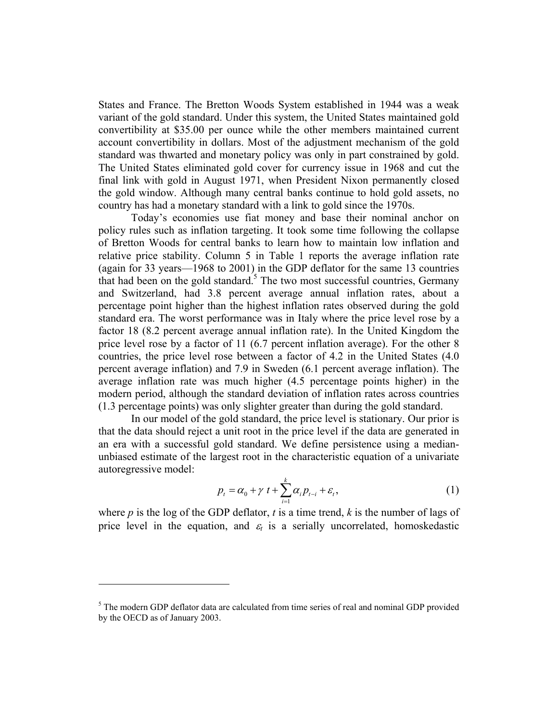States and France. The Bretton Woods System established in 1944 was a weak variant of the gold standard. Under this system, the United States maintained gold convertibility at \$35.00 per ounce while the other members maintained current account convertibility in dollars. Most of the adjustment mechanism of the gold standard was thwarted and monetary policy was only in part constrained by gold. The United States eliminated gold cover for currency issue in 1968 and cut the final link with gold in August 1971, when President Nixon permanently closed the gold window. Although many central banks continue to hold gold assets, no country has had a monetary standard with a link to gold since the 1970s.

Today's economies use fiat money and base their nominal anchor on policy rules such as inflation targeting. It took some time following the collapse of Bretton Woods for central banks to learn how to maintain low inflation and relative price stability. Column 5 in Table 1 reports the average inflation rate (again for 33 years—1968 to 2001) in the GDP deflator for the same 13 countries that had been on the gold standard.<sup>5</sup> The two most successful countries, Germany and Switzerland, had 3.8 percent average annual inflation rates, about a percentage point higher than the highest inflation rates observed during the gold standard era. The worst performance was in Italy where the price level rose by a factor 18 (8.2 percent average annual inflation rate). In the United Kingdom the price level rose by a factor of 11 (6.7 percent inflation average). For the other 8 countries, the price level rose between a factor of 4.2 in the United States (4.0 percent average inflation) and 7.9 in Sweden (6.1 percent average inflation). The average inflation rate was much higher (4.5 percentage points higher) in the modern period, although the standard deviation of inflation rates across countries (1.3 percentage points) was only slighter greater than during the gold standard.

In our model of the gold standard, the price level is stationary. Our prior is that the data should reject a unit root in the price level if the data are generated in an era with a successful gold standard. We define persistence using a medianunbiased estimate of the largest root in the characteristic equation of a univariate autoregressive model:

$$
p_{t} = \alpha_{0} + \gamma t + \sum_{i=1}^{k} \alpha_{i} p_{t-i} + \varepsilon_{t}, \qquad (1)
$$

where *p* is the log of the GDP deflator, *t* is a time trend, *k* is the number of lags of price level in the equation, and  $\varepsilon_t$  is a serially uncorrelated, homoskedastic

 $\overline{a}$ 

<sup>&</sup>lt;sup>5</sup> The modern GDP deflator data are calculated from time series of real and nominal GDP provided by the OECD as of January 2003.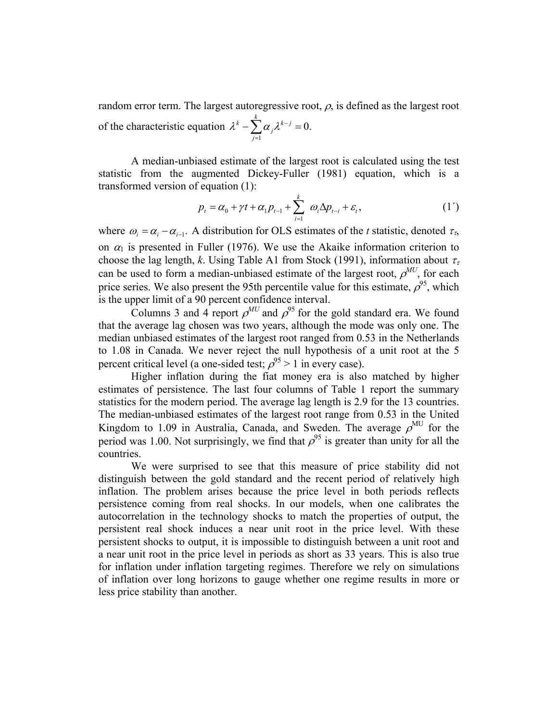random error term. The largest autoregressive root,  $\rho$ , is defined as the largest root of the characteristic equation 1 0.  $k \sum_{i=1}^k a_i$ *j j*  $\lambda^k - \sum \alpha \, \lambda^{k-1}$  $-\sum_{j=1}^{\infty} \alpha_j \lambda^{k-j} = 0.$ 

A median-unbiased estimate of the largest root is calculated using the test statistic from the augmented Dickey-Fuller (1981) equation, which is a transformed version of equation (1):

$$
p_{t} = \alpha_{0} + \gamma t + \alpha_{1} p_{t-1} + \sum_{i=1}^{k} \omega_{i} \Delta p_{t-i} + \varepsilon_{t}, \qquad (1')
$$

where  $\omega_i = \alpha_i - \alpha_{i-1}$ . A distribution for OLS estimates of the *t* statistic, denoted  $\tau_{\tau}$ , on  $\alpha_1$  is presented in Fuller (1976). We use the Akaike information criterion to choose the lag length, *k*. Using Table A1 from Stock (1991), information about  $\tau_{\tau}$ can be used to form a median-unbiased estimate of the largest root,  $\rho^{MU}$ , for each price series. We also present the 95th percentile value for this estimate,  $\rho^{95}$ , which is the upper limit of a 90 percent confidence interval.

Columns 3 and 4 report  $\rho^{MU}$  and  $\rho^{95}$  for the gold standard era. We found that the average lag chosen was two years, although the mode was only one. The median unbiased estimates of the largest root ranged from 0.53 in the Netherlands to 1.08 in Canada. We never reject the null hypothesis of a unit root at the 5 percent critical level (a one-sided test;  $\rho^{95} > 1$  in every case).

Higher inflation during the fiat money era is also matched by higher estimates of persistence. The last four columns of Table 1 report the summary statistics for the modern period. The average lag length is 2.9 for the 13 countries. The median-unbiased estimates of the largest root range from 0.53 in the United Kingdom to 1.09 in Australia, Canada, and Sweden. The average  $\rho^{MU}$  for the period was 1.00. Not surprisingly, we find that  $\rho^{95}$  is greater than unity for all the countries.

We were surprised to see that this measure of price stability did not distinguish between the gold standard and the recent period of relatively high inflation. The problem arises because the price level in both periods reflects persistence coming from real shocks. In our models, when one calibrates the autocorrelation in the technology shocks to match the properties of output, the persistent real shock induces a near unit root in the price level. With these persistent shocks to output, it is impossible to distinguish between a unit root and a near unit root in the price level in periods as short as 33 years. This is also true for inflation under inflation targeting regimes. Therefore we rely on simulations of inflation over long horizons to gauge whether one regime results in more or less price stability than another.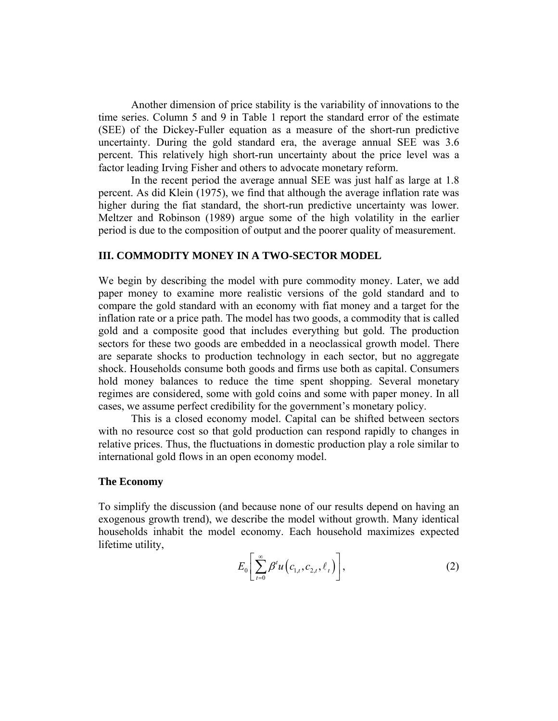Another dimension of price stability is the variability of innovations to the time series. Column 5 and 9 in Table 1 report the standard error of the estimate (SEE) of the Dickey-Fuller equation as a measure of the short-run predictive uncertainty. During the gold standard era, the average annual SEE was 3.6 percent. This relatively high short-run uncertainty about the price level was a factor leading Irving Fisher and others to advocate monetary reform.

In the recent period the average annual SEE was just half as large at 1.8 percent. As did Klein (1975), we find that although the average inflation rate was higher during the fiat standard, the short-run predictive uncertainty was lower. Meltzer and Robinson (1989) argue some of the high volatility in the earlier period is due to the composition of output and the poorer quality of measurement.

# **III. COMMODITY MONEY IN A TWO-SECTOR MODEL**

We begin by describing the model with pure commodity money. Later, we add paper money to examine more realistic versions of the gold standard and to compare the gold standard with an economy with fiat money and a target for the inflation rate or a price path. The model has two goods, a commodity that is called gold and a composite good that includes everything but gold. The production sectors for these two goods are embedded in a neoclassical growth model. There are separate shocks to production technology in each sector, but no aggregate shock. Households consume both goods and firms use both as capital. Consumers hold money balances to reduce the time spent shopping. Several monetary regimes are considered, some with gold coins and some with paper money. In all cases, we assume perfect credibility for the government's monetary policy.

This is a closed economy model. Capital can be shifted between sectors with no resource cost so that gold production can respond rapidly to changes in relative prices. Thus, the fluctuations in domestic production play a role similar to international gold flows in an open economy model.

#### **The Economy**

To simplify the discussion (and because none of our results depend on having an exogenous growth trend), we describe the model without growth. Many identical households inhabit the model economy. Each household maximizes expected lifetime utility,

$$
E_0\bigg[\sum_{t=0}^{\infty}\beta^t u\big(c_{1,t},c_{2,t},\ell_t\big)\bigg],\qquad (2)
$$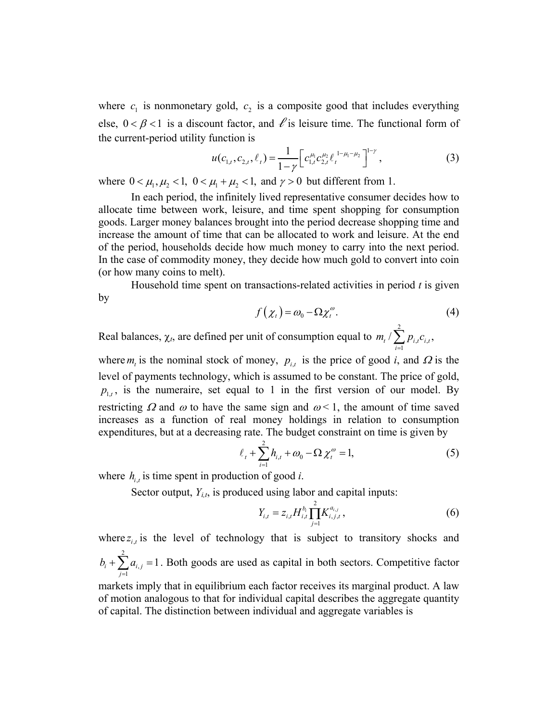where  $c_1$  is nonmonetary gold,  $c_2$  is a composite good that includes everything else,  $0 < \beta < 1$  is a discount factor, and  $\ell$  is leisure time. The functional form of the current-period utility function is

$$
u(c_{1,t}, c_{2,t}, \ell_t) = \frac{1}{1 - \gamma} \Big[ c_{1,t}^{\mu_1} c_{2,t}^{\mu_2} \ell_t^{\frac{1 - \mu_1 - \mu_2}{\sigma_1}} \Big]^{1 - \gamma},
$$
\n(3)

where  $0 < \mu_1, \mu_2 < 1$ ,  $0 < \mu_1 + \mu_2 < 1$ , and  $\gamma > 0$  but different from 1.

In each period, the infinitely lived representative consumer decides how to allocate time between work, leisure, and time spent shopping for consumption goods. Larger money balances brought into the period decrease shopping time and increase the amount of time that can be allocated to work and leisure. At the end of the period, households decide how much money to carry into the next period. In the case of commodity money, they decide how much gold to convert into coin (or how many coins to melt).

Household time spent on transactions-related activities in period *t* is given by

$$
f(\chi_t) = \omega_0 - \Omega \chi_t^{\omega}.
$$
 (4)

Real balances,  $\chi_t$ , are defined per unit of consumption equal to 2  $t^{\mathbf{C}}i,$ 1  $p_{i,t}$  /  $\sum p_{i,t} c_{i,t}$ , *i*  $m_t / \sum p_i c$  $\sum_{i=1} p_{i,t} c_{i,t}$ 

where  $m_t$  is the nominal stock of money,  $p_{i,t}$  is the price of good *i*, and  $\Omega$  is the level of payments technology, which is assumed to be constant. The price of gold,  $p_{1,t}$ , is the numeraire, set equal to 1 in the first version of our model. By restricting  $\Omega$  and  $\omega$  to have the same sign and  $\omega$  < 1, the amount of time saved increases as a function of real money holdings in relation to consumption expenditures, but at a decreasing rate. The budget constraint on time is given by

$$
\ell_{t} + \sum_{i=1}^{2} h_{i,t} + \omega_0 - \Omega \chi_{t}^{\omega} = 1,
$$
 (5)

where  $h_{i,t}$  is time spent in production of good *i*.

Sector output,  $Y_{i,t}$ , is produced using labor and capital inputs:

$$
Y_{i,t} = z_{i,t} H_{i,t}^{b_i} \prod_{j=1}^{2} K_{i,j,t}^{a_{i,j}}, \qquad (6)
$$

where  $z_{i,t}$  is the level of technology that is subject to transitory shocks and 2 , 1  $a_{i} + \sum a_{i,j} = 1$ *j*  $b_i + \sum a$  $+\sum_{j=1} a_{i,j} = 1$ . Both goods are used as capital in both sectors. Competitive factor

markets imply that in equilibrium each factor receives its marginal product. A law of motion analogous to that for individual capital describes the aggregate quantity of capital. The distinction between individual and aggregate variables is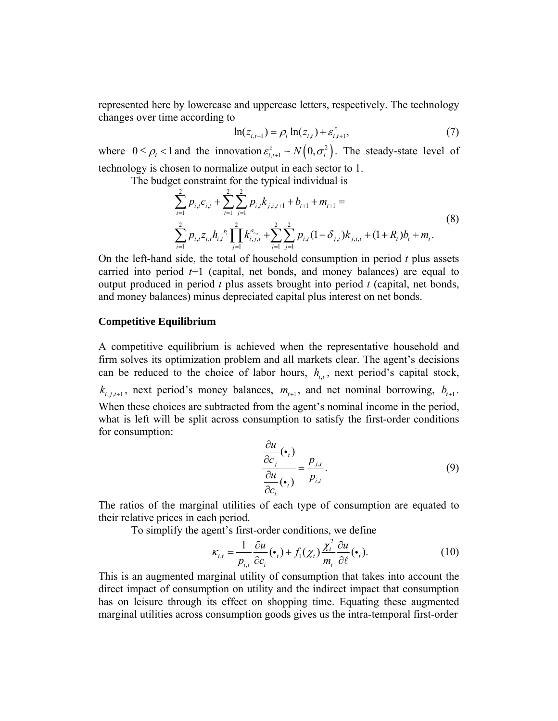represented here by lowercase and uppercase letters, respectively. The technology changes over time according to

$$
\ln(z_{i,t+1}) = \rho_i \ln(z_{i,t}) + \varepsilon_{i,t+1}^z,
$$
\n(7)

where  $0 \le \rho_i < 1$  and the innovation  $\varepsilon_{i,t+1}^z \sim N(0, \sigma_i^2)$ . The steady-state level of technology is chosen to normalize output in each sector to 1.

The budget constraint for the typical individual is

$$
\sum_{i=1}^{2} p_{i,t} c_{i,t} + \sum_{i=1}^{2} \sum_{j=1}^{2} p_{i,t} k_{j,i,t+1} + b_{t+1} + m_{t+1} =
$$
\n
$$
\sum_{i=1}^{2} p_{i,t} z_{i,t} h_{i,t}^{b_i} \prod_{j=1}^{2} k_{i,j,t}^{a_{i,j}} + \sum_{i=1}^{2} \sum_{j=1}^{2} p_{i,t} (1 - \delta_{j,i}) k_{j,i,t} + (1 + R_t) b_t + m_t.
$$
\n(8)

On the left-hand side, the total of household consumption in period *t* plus assets carried into period *t*+1 (capital, net bonds, and money balances) are equal to output produced in period *t* plus assets brought into period *t* (capital, net bonds, and money balances) minus depreciated capital plus interest on net bonds.

#### **Competitive Equilibrium**

A competitive equilibrium is achieved when the representative household and firm solves its optimization problem and all markets clear. The agent's decisions can be reduced to the choice of labor hours,  $h_{i,t}$ , next period's capital stock,  $k_{i,j,t+1}$ , next period's money balances,  $m_{t+1}$ , and net nominal borrowing,  $b_{t+1}$ . When these choices are subtracted from the agent's nominal income in the period, what is left will be split across consumption to satisfy the first-order conditions for consumption:

$$
\frac{\frac{\partial u}{\partial c_j}(\bullet_t)}{\frac{\partial u}{\partial c_i}(\bullet_t)} = \frac{p_{j,t}}{p_{i,t}}.
$$
\n(9)

The ratios of the marginal utilities of each type of consumption are equated to their relative prices in each period.

To simplify the agent's first-order conditions, we define

$$
\kappa_{i,t} = \frac{1}{p_{i,t}} \frac{\partial u}{\partial c_i} (\bullet_t) + f_1(\chi_t) \frac{\chi_t^2}{m_t} \frac{\partial u}{\partial \ell} (\bullet_t). \tag{10}
$$

This is an augmented marginal utility of consumption that takes into account the direct impact of consumption on utility and the indirect impact that consumption has on leisure through its effect on shopping time. Equating these augmented marginal utilities across consumption goods gives us the intra-temporal first-order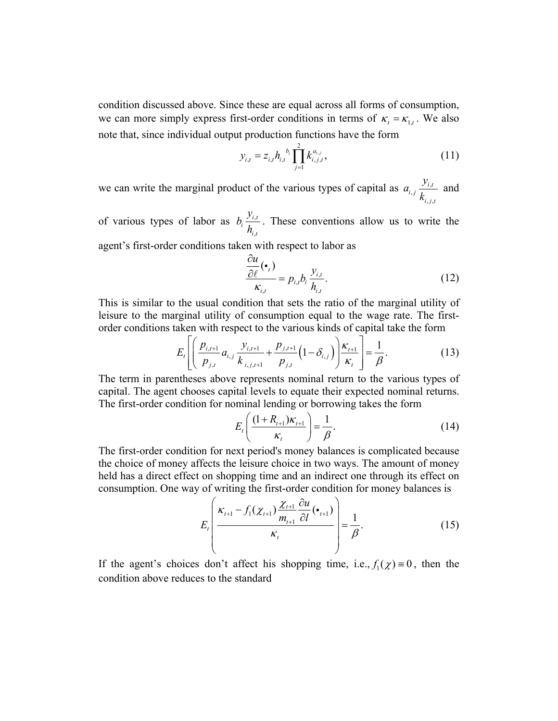condition discussed above. Since these are equal across all forms of consumption, we can more simply express first-order conditions in terms of  $\kappa_t = \kappa_{1,t}$ . We also note that, since individual output production functions have the form

$$
y_{i,t} = z_{i,t} h_{i,t}^{b_i} \prod_{j=1}^2 k_{i,j,t}^{a_{i,j}},
$$
\n(11)

we can write the marginal product of the various types of capital as  $a_{i,j} \frac{y_{i,j}}{I}$  $, j,$ *i t i j*  $i, j, t$ *y a k* and

of various types of labor as  $b_i \frac{y_i}{x_i}$ , *i t i i t*  $b_i \frac{y}{z}$ *h* . These conventions allow us to write the

agent's first-order conditions taken with respect to labor as

$$
\frac{\partial u}{\partial \ell}(\bullet_i) \over \kappa_{i,t}} = p_{i,t} b_i \frac{y_{i,t}}{h_{i,t}}.
$$
\n(12)

This is similar to the usual condition that sets the ratio of the marginal utility of leisure to the marginal utility of consumption equal to the wage rate. The firstorder conditions taken with respect to the various kinds of capital take the form

$$
E_t\left[\left(\frac{p_{i,t+1}}{p_{j,t}}a_{i,j}\frac{y_{i,t+1}}{k_{i,j,t+1}}+\frac{p_{j,t+1}}{p_{j,t}}\left(1-\delta_{i,j}\right)\right)\frac{\kappa_{t+1}}{\kappa_t}\right]=\frac{1}{\beta}.
$$
 (13)

The term in parentheses above represents nominal return to the various types of capital. The agent chooses capital levels to equate their expected nominal returns. The first-order condition for nominal lending or borrowing takes the form

$$
E_t\left(\frac{(1+R_{t+1})\kappa_{t+1}}{\kappa_t}\right) = \frac{1}{\beta}.
$$
 (14)

The first-order condition for next period's money balances is complicated because the choice of money affects the leisure choice in two ways. The amount of money held has a direct effect on shopping time and an indirect one through its effect on consumption. One way of writing the first-order condition for money balances is

$$
E_t\left(\frac{\kappa_{t+1} - f_1(\chi_{t+1})\frac{\chi_{t+1}}{m_{t+1}}\frac{\partial u}{\partial l}(\bullet_{t+1})}{\kappa_t}\right) = \frac{1}{\beta}.
$$
 (15)

If the agent's choices don't affect his shopping time, i.e.,  $f_1(\chi) = 0$ , then the condition above reduces to the standard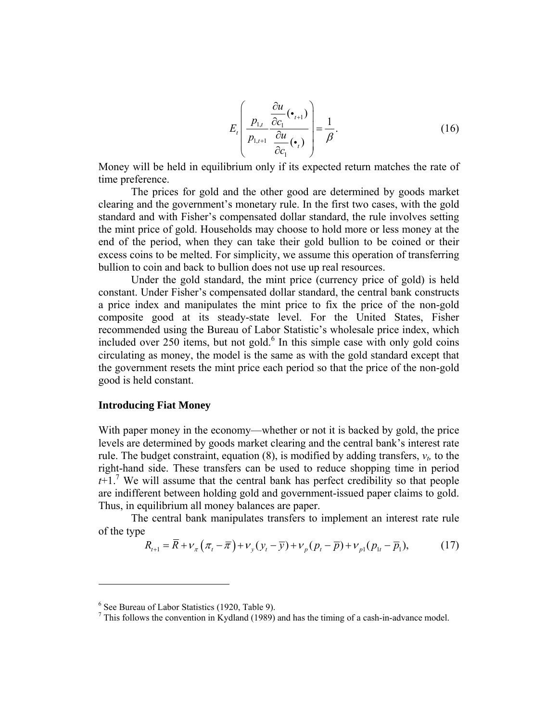$$
E_t\left(\frac{p_{1,t}}{p_{1,t+1}}\frac{\frac{\partial u}{\partial c_1}(\bullet_{t+1})}{\frac{\partial u}{\partial c_1}(\bullet_t)}\right) = \frac{1}{\beta}.
$$
 (16)

Money will be held in equilibrium only if its expected return matches the rate of time preference.

The prices for gold and the other good are determined by goods market clearing and the government's monetary rule. In the first two cases, with the gold standard and with Fisher's compensated dollar standard, the rule involves setting the mint price of gold. Households may choose to hold more or less money at the end of the period, when they can take their gold bullion to be coined or their excess coins to be melted. For simplicity, we assume this operation of transferring bullion to coin and back to bullion does not use up real resources.

 Under the gold standard, the mint price (currency price of gold) is held constant. Under Fisher's compensated dollar standard, the central bank constructs a price index and manipulates the mint price to fix the price of the non-gold composite good at its steady-state level. For the United States, Fisher recommended using the Bureau of Labor Statistic's wholesale price index, which included over  $250$  items, but not gold. $<sup>6</sup>$  In this simple case with only gold coins</sup> circulating as money, the model is the same as with the gold standard except that the government resets the mint price each period so that the price of the non-gold good is held constant.

# **Introducing Fiat Money**

 $\overline{a}$ 

With paper money in the economy—whether or not it is backed by gold, the price levels are determined by goods market clearing and the central bank's interest rate rule. The budget constraint, equation  $(8)$ , is modified by adding transfers,  $v_t$ , to the right-hand side. These transfers can be used to reduce shopping time in period  $t+1$ <sup>7</sup>. We will assume that the central bank has perfect credibility so that people are indifferent between holding gold and government-issued paper claims to gold. Thus, in equilibrium all money balances are paper.

The central bank manipulates transfers to implement an interest rate rule of the type

$$
R_{t+1} = \overline{R} + \nu_{\pi} \left( \pi_t - \overline{\pi} \right) + \nu_{y} \left( y_t - \overline{y} \right) + \nu_{p} \left( p_t - \overline{p} \right) + \nu_{p1} \left( p_{1t} - \overline{p}_1 \right),\tag{17}
$$

<sup>6</sup> See Bureau of Labor Statistics (1920, Table 9).

 $<sup>7</sup>$  This follows the convention in Kydland (1989) and has the timing of a cash-in-advance model.</sup>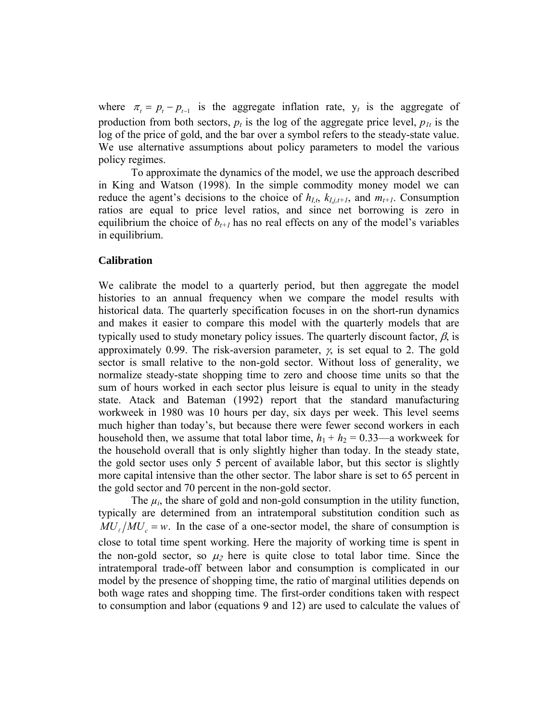where  $\pi_t = p_t - p_{t-1}$  is the aggregate inflation rate,  $y_t$  is the aggregate of production from both sectors,  $p_t$  is the log of the aggregate price level,  $p_{1t}$  is the log of the price of gold, and the bar over a symbol refers to the steady-state value. We use alternative assumptions about policy parameters to model the various policy regimes.

 To approximate the dynamics of the model, we use the approach described in King and Watson (1998). In the simple commodity money model we can reduce the agent's decisions to the choice of  $h_{I,t}$ ,  $k_{I,i,t+1}$ , and  $m_{t+1}$ . Consumption ratios are equal to price level ratios, and since net borrowing is zero in equilibrium the choice of  $b_{t+1}$  has no real effects on any of the model's variables in equilibrium.

#### **Calibration**

We calibrate the model to a quarterly period, but then aggregate the model histories to an annual frequency when we compare the model results with historical data. The quarterly specification focuses in on the short-run dynamics and makes it easier to compare this model with the quarterly models that are typically used to study monetary policy issues. The quarterly discount factor,  $\beta$ , is approximately 0.99. The risk-aversion parameter,  $\gamma$ , is set equal to 2. The gold sector is small relative to the non-gold sector. Without loss of generality, we normalize steady-state shopping time to zero and choose time units so that the sum of hours worked in each sector plus leisure is equal to unity in the steady state. Atack and Bateman (1992) report that the standard manufacturing workweek in 1980 was 10 hours per day, six days per week. This level seems much higher than today's, but because there were fewer second workers in each household then, we assume that total labor time,  $h_1 + h_2 = 0.33$ —a workweek for the household overall that is only slightly higher than today. In the steady state, the gold sector uses only 5 percent of available labor, but this sector is slightly more capital intensive than the other sector. The labor share is set to 65 percent in the gold sector and 70 percent in the non-gold sector.

The  $\mu_i$ , the share of gold and non-gold consumption in the utility function, typically are determined from an intratemporal substitution condition such as  $MU_{\ell}/MU_{c} = w$ . In the case of a one-sector model, the share of consumption is close to total time spent working. Here the majority of working time is spent in the non-gold sector, so  $\mu_2$  here is quite close to total labor time. Since the intratemporal trade-off between labor and consumption is complicated in our model by the presence of shopping time, the ratio of marginal utilities depends on both wage rates and shopping time. The first-order conditions taken with respect to consumption and labor (equations 9 and 12) are used to calculate the values of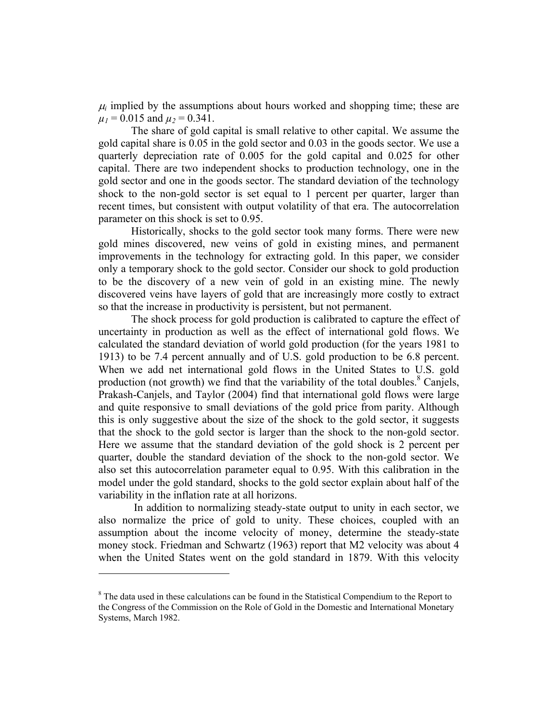$\mu_i$  implied by the assumptions about hours worked and shopping time; these are  $\mu_1$  = 0.015 and  $\mu_2$  = 0.341.

The share of gold capital is small relative to other capital. We assume the gold capital share is 0.05 in the gold sector and 0.03 in the goods sector. We use a quarterly depreciation rate of 0.005 for the gold capital and 0.025 for other capital. There are two independent shocks to production technology, one in the gold sector and one in the goods sector. The standard deviation of the technology shock to the non-gold sector is set equal to 1 percent per quarter, larger than recent times, but consistent with output volatility of that era. The autocorrelation parameter on this shock is set to 0.95.

Historically, shocks to the gold sector took many forms. There were new gold mines discovered, new veins of gold in existing mines, and permanent improvements in the technology for extracting gold. In this paper, we consider only a temporary shock to the gold sector. Consider our shock to gold production to be the discovery of a new vein of gold in an existing mine. The newly discovered veins have layers of gold that are increasingly more costly to extract so that the increase in productivity is persistent, but not permanent.

The shock process for gold production is calibrated to capture the effect of uncertainty in production as well as the effect of international gold flows. We calculated the standard deviation of world gold production (for the years 1981 to 1913) to be 7.4 percent annually and of U.S. gold production to be 6.8 percent. When we add net international gold flows in the United States to U.S. gold production (not growth) we find that the variability of the total doubles. $8$  Canjels, Prakash-Canjels, and Taylor (2004) find that international gold flows were large and quite responsive to small deviations of the gold price from parity. Although this is only suggestive about the size of the shock to the gold sector, it suggests that the shock to the gold sector is larger than the shock to the non-gold sector. Here we assume that the standard deviation of the gold shock is 2 percent per quarter, double the standard deviation of the shock to the non-gold sector. We also set this autocorrelation parameter equal to 0.95. With this calibration in the model under the gold standard, shocks to the gold sector explain about half of the variability in the inflation rate at all horizons.

 In addition to normalizing steady-state output to unity in each sector, we also normalize the price of gold to unity. These choices, coupled with an assumption about the income velocity of money, determine the steady-state money stock. Friedman and Schwartz (1963) report that M2 velocity was about 4 when the United States went on the gold standard in 1879. With this velocity

 $\overline{a}$ 

<sup>&</sup>lt;sup>8</sup> The data used in these calculations can be found in the Statistical Compendium to the Report to the Congress of the Commission on the Role of Gold in the Domestic and International Monetary Systems, March 1982.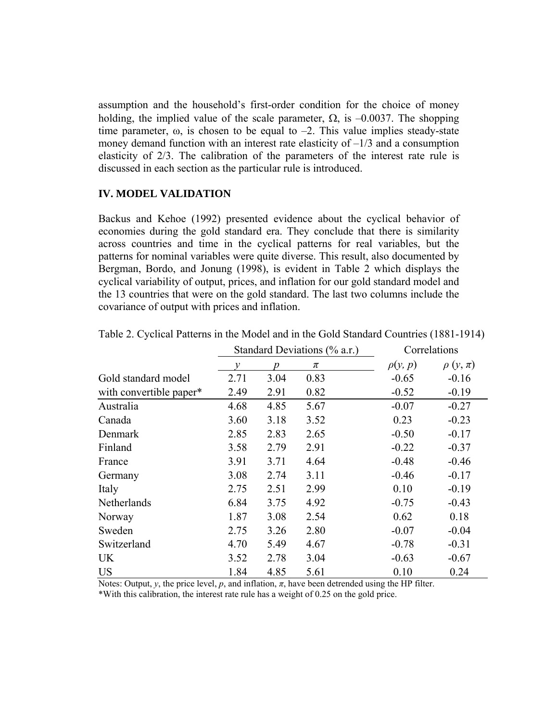assumption and the household's first-order condition for the choice of money holding, the implied value of the scale parameter,  $\Omega$ , is  $-0.0037$ . The shopping time parameter,  $\omega$ , is chosen to be equal to  $-2$ . This value implies steady-state money demand function with an interest rate elasticity of  $-1/3$  and a consumption elasticity of 2/3. The calibration of the parameters of the interest rate rule is discussed in each section as the particular rule is introduced.

#### **IV. MODEL VALIDATION**

Backus and Kehoe (1992) presented evidence about the cyclical behavior of economies during the gold standard era. They conclude that there is similarity across countries and time in the cyclical patterns for real variables, but the patterns for nominal variables were quite diverse. This result, also documented by Bergman, Bordo, and Jonung (1998), is evident in Table 2 which displays the cyclical variability of output, prices, and inflation for our gold standard model and the 13 countries that were on the gold standard. The last two columns include the covariance of output with prices and inflation.

|                         | Standard Deviations (% a.r.) |      |      | Correlations |               |  |
|-------------------------|------------------------------|------|------|--------------|---------------|--|
|                         | ν                            | n    | π    | $\rho(y,p)$  | $\rho(y,\pi)$ |  |
| Gold standard model     | 2.71                         | 3.04 | 0.83 | $-0.65$      | $-0.16$       |  |
| with convertible paper* | 2.49                         | 2.91 | 0.82 | $-0.52$      | $-0.19$       |  |
| Australia               | 4.68                         | 4.85 | 5.67 | $-0.07$      | $-0.27$       |  |
| Canada                  | 3.60                         | 3.18 | 3.52 | 0.23         | $-0.23$       |  |
| Denmark                 | 2.85                         | 2.83 | 2.65 | $-0.50$      | $-0.17$       |  |
| Finland                 | 3.58                         | 2.79 | 2.91 | $-0.22$      | $-0.37$       |  |
| France                  | 3.91                         | 3.71 | 4.64 | $-0.48$      | $-0.46$       |  |
| Germany                 | 3.08                         | 2.74 | 3.11 | $-0.46$      | $-0.17$       |  |
| Italy                   | 2.75                         | 2.51 | 2.99 | 0.10         | $-0.19$       |  |
| Netherlands             | 6.84                         | 3.75 | 4.92 | $-0.75$      | $-0.43$       |  |
| Norway                  | 1.87                         | 3.08 | 2.54 | 0.62         | 0.18          |  |
| Sweden                  | 2.75                         | 3.26 | 2.80 | $-0.07$      | $-0.04$       |  |
| Switzerland             | 4.70                         | 5.49 | 4.67 | $-0.78$      | $-0.31$       |  |
| <b>UK</b>               | 3.52                         | 2.78 | 3.04 | $-0.63$      | $-0.67$       |  |
| <b>US</b>               | 1.84                         | 4.85 | 5.61 | 0.10         | 0.24          |  |

Table 2. Cyclical Patterns in the Model and in the Gold Standard Countries (1881-1914)

Notes: Output,  $\nu$ , the price level,  $\nu$ , and inflation,  $\pi$ , have been detrended using the HP filter. \*With this calibration, the interest rate rule has a weight of 0.25 on the gold price.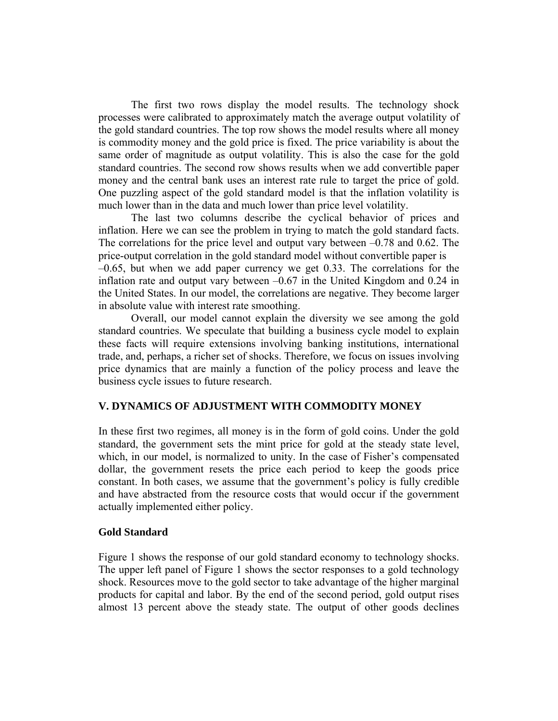The first two rows display the model results. The technology shock processes were calibrated to approximately match the average output volatility of the gold standard countries. The top row shows the model results where all money is commodity money and the gold price is fixed. The price variability is about the same order of magnitude as output volatility. This is also the case for the gold standard countries. The second row shows results when we add convertible paper money and the central bank uses an interest rate rule to target the price of gold. One puzzling aspect of the gold standard model is that the inflation volatility is much lower than in the data and much lower than price level volatility.

 The last two columns describe the cyclical behavior of prices and inflation. Here we can see the problem in trying to match the gold standard facts. The correlations for the price level and output vary between –0.78 and 0.62. The price-output correlation in the gold standard model without convertible paper is  $-0.65$ , but when we add paper currency we get 0.33. The correlations for the inflation rate and output vary between –0.67 in the United Kingdom and 0.24 in the United States. In our model, the correlations are negative. They become larger in absolute value with interest rate smoothing.

 Overall, our model cannot explain the diversity we see among the gold standard countries. We speculate that building a business cycle model to explain these facts will require extensions involving banking institutions, international trade, and, perhaps, a richer set of shocks. Therefore, we focus on issues involving price dynamics that are mainly a function of the policy process and leave the business cycle issues to future research.

#### **V. DYNAMICS OF ADJUSTMENT WITH COMMODITY MONEY**

In these first two regimes, all money is in the form of gold coins. Under the gold standard, the government sets the mint price for gold at the steady state level, which, in our model, is normalized to unity. In the case of Fisher's compensated dollar, the government resets the price each period to keep the goods price constant. In both cases, we assume that the government's policy is fully credible and have abstracted from the resource costs that would occur if the government actually implemented either policy.

#### **Gold Standard**

Figure 1 shows the response of our gold standard economy to technology shocks. The upper left panel of Figure 1 shows the sector responses to a gold technology shock. Resources move to the gold sector to take advantage of the higher marginal products for capital and labor. By the end of the second period, gold output rises almost 13 percent above the steady state. The output of other goods declines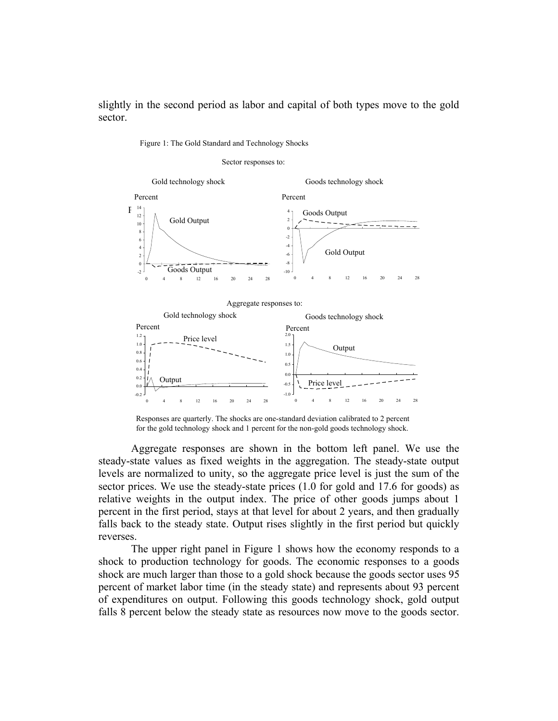slightly in the second period as labor and capital of both types move to the gold sector.

Figure 1: The Gold Standard and Technology Shocks



Responses are quarterly. The shocks are one-standard deviation calibrated to 2 percent for the gold technology shock and 1 percent for the non-gold goods technology shock.

Aggregate responses are shown in the bottom left panel. We use the steady-state values as fixed weights in the aggregation. The steady-state output levels are normalized to unity, so the aggregate price level is just the sum of the sector prices. We use the steady-state prices (1.0 for gold and 17.6 for goods) as relative weights in the output index. The price of other goods jumps about 1 percent in the first period, stays at that level for about 2 years, and then gradually falls back to the steady state. Output rises slightly in the first period but quickly reverses.

The upper right panel in Figure 1 shows how the economy responds to a shock to production technology for goods. The economic responses to a goods shock are much larger than those to a gold shock because the goods sector uses 95 percent of market labor time (in the steady state) and represents about 93 percent of expenditures on output. Following this goods technology shock, gold output falls 8 percent below the steady state as resources now move to the goods sector.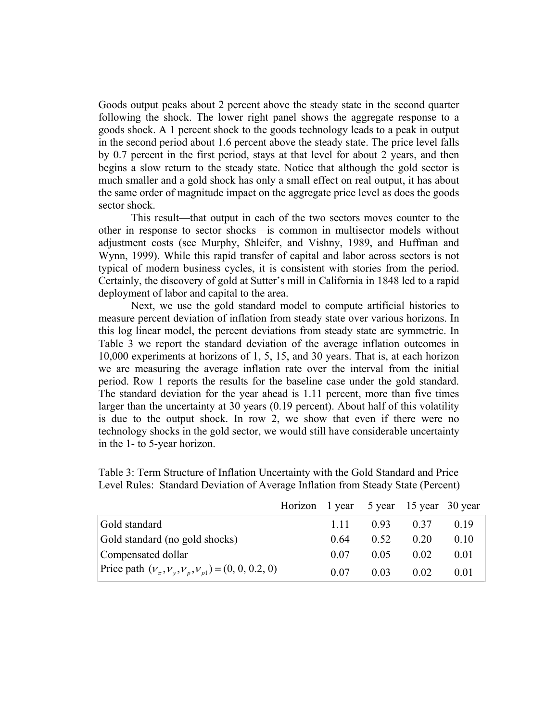Goods output peaks about 2 percent above the steady state in the second quarter following the shock. The lower right panel shows the aggregate response to a goods shock. A 1 percent shock to the goods technology leads to a peak in output in the second period about 1.6 percent above the steady state. The price level falls by 0.7 percent in the first period, stays at that level for about 2 years, and then begins a slow return to the steady state. Notice that although the gold sector is much smaller and a gold shock has only a small effect on real output, it has about the same order of magnitude impact on the aggregate price level as does the goods sector shock.

This result—that output in each of the two sectors moves counter to the other in response to sector shocks—is common in multisector models without adjustment costs (see Murphy, Shleifer, and Vishny, 1989, and Huffman and Wynn, 1999). While this rapid transfer of capital and labor across sectors is not typical of modern business cycles, it is consistent with stories from the period. Certainly, the discovery of gold at Sutter's mill in California in 1848 led to a rapid deployment of labor and capital to the area.

 Next, we use the gold standard model to compute artificial histories to measure percent deviation of inflation from steady state over various horizons. In this log linear model, the percent deviations from steady state are symmetric. In Table 3 we report the standard deviation of the average inflation outcomes in 10,000 experiments at horizons of 1, 5, 15, and 30 years. That is, at each horizon we are measuring the average inflation rate over the interval from the initial period. Row 1 reports the results for the baseline case under the gold standard. The standard deviation for the year ahead is 1.11 percent, more than five times larger than the uncertainty at 30 years (0.19 percent). About half of this volatility is due to the output shock. In row 2, we show that even if there were no technology shocks in the gold sector, we would still have considerable uncertainty in the 1- to 5-year horizon.

|                                                       | Horizon 1 year 5 year 15 year 30 year |       |      |           |                 |
|-------------------------------------------------------|---------------------------------------|-------|------|-----------|-----------------|
| Gold standard                                         |                                       | 1 1 1 |      | 0.93 0.37 | 019             |
| Gold standard (no gold shocks)                        |                                       | 0.64  | 0.52 | 0.20      | 010             |
| Compensated dollar                                    |                                       | 0.07  | 0.05 | 0.02      | 0.01            |
| Price path $(v_x, v_y, v_y, v_{p1}) = (0, 0, 0.2, 0)$ |                                       | 0.07  | 0.03 | 0.02      | 0 <sub>01</sub> |

Table 3: Term Structure of Inflation Uncertainty with the Gold Standard and Price Level Rules: Standard Deviation of Average Inflation from Steady State (Percent)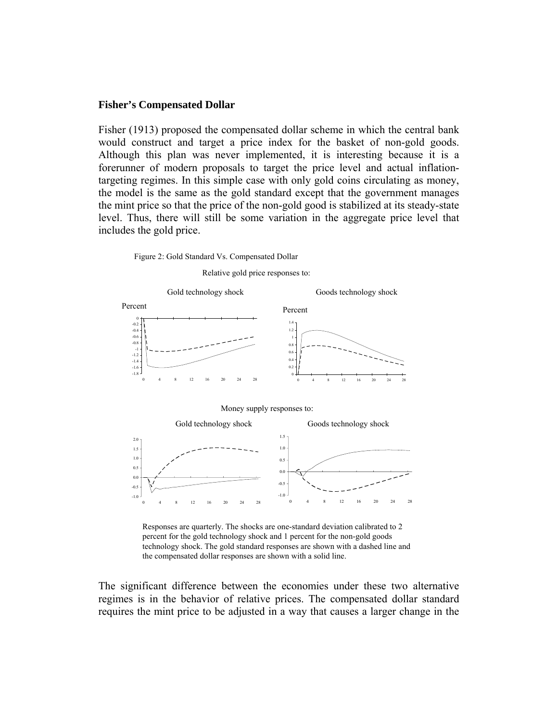#### **Fisher's Compensated Dollar**

Fisher (1913) proposed the compensated dollar scheme in which the central bank would construct and target a price index for the basket of non-gold goods. Although this plan was never implemented, it is interesting because it is a forerunner of modern proposals to target the price level and actual inflationtargeting regimes. In this simple case with only gold coins circulating as money, the model is the same as the gold standard except that the government manages the mint price so that the price of the non-gold good is stabilized at its steady-state level. Thus, there will still be some variation in the aggregate price level that includes the gold price.



Relative gold price responses to:



Responses are quarterly. The shocks are one-standard deviation calibrated to 2 percent for the gold technology shock and 1 percent for the non-gold goods technology shock. The gold standard responses are shown with a dashed line and the compensated dollar responses are shown with a solid line.

The significant difference between the economies under these two alternative regimes is in the behavior of relative prices. The compensated dollar standard requires the mint price to be adjusted in a way that causes a larger change in the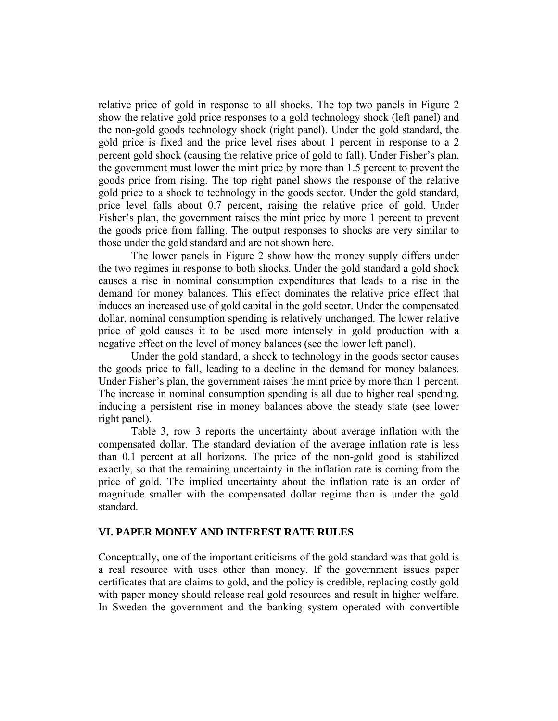relative price of gold in response to all shocks. The top two panels in Figure 2 show the relative gold price responses to a gold technology shock (left panel) and the non-gold goods technology shock (right panel). Under the gold standard, the gold price is fixed and the price level rises about 1 percent in response to a 2 percent gold shock (causing the relative price of gold to fall). Under Fisher's plan, the government must lower the mint price by more than 1.5 percent to prevent the goods price from rising. The top right panel shows the response of the relative gold price to a shock to technology in the goods sector. Under the gold standard, price level falls about 0.7 percent, raising the relative price of gold. Under Fisher's plan, the government raises the mint price by more 1 percent to prevent the goods price from falling. The output responses to shocks are very similar to those under the gold standard and are not shown here.

The lower panels in Figure 2 show how the money supply differs under the two regimes in response to both shocks. Under the gold standard a gold shock causes a rise in nominal consumption expenditures that leads to a rise in the demand for money balances. This effect dominates the relative price effect that induces an increased use of gold capital in the gold sector. Under the compensated dollar, nominal consumption spending is relatively unchanged. The lower relative price of gold causes it to be used more intensely in gold production with a negative effect on the level of money balances (see the lower left panel).

Under the gold standard, a shock to technology in the goods sector causes the goods price to fall, leading to a decline in the demand for money balances. Under Fisher's plan, the government raises the mint price by more than 1 percent. The increase in nominal consumption spending is all due to higher real spending, inducing a persistent rise in money balances above the steady state (see lower right panel).

Table 3, row 3 reports the uncertainty about average inflation with the compensated dollar. The standard deviation of the average inflation rate is less than 0.1 percent at all horizons. The price of the non-gold good is stabilized exactly, so that the remaining uncertainty in the inflation rate is coming from the price of gold. The implied uncertainty about the inflation rate is an order of magnitude smaller with the compensated dollar regime than is under the gold standard.

#### **VI. PAPER MONEY AND INTEREST RATE RULES**

Conceptually, one of the important criticisms of the gold standard was that gold is a real resource with uses other than money. If the government issues paper certificates that are claims to gold, and the policy is credible, replacing costly gold with paper money should release real gold resources and result in higher welfare. In Sweden the government and the banking system operated with convertible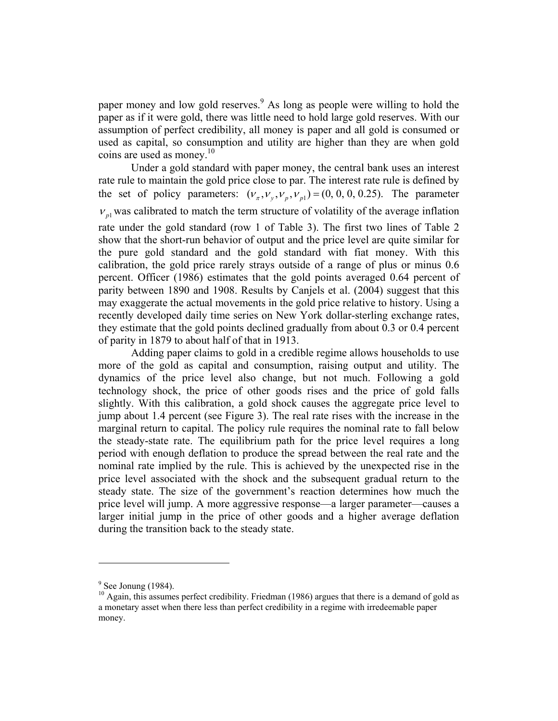paper money and low gold reserves.<sup>9</sup> As long as people were willing to hold the paper as if it were gold, there was little need to hold large gold reserves. With our assumption of perfect credibility, all money is paper and all gold is consumed or used as capital, so consumption and utility are higher than they are when gold coins are used as money.<sup>10</sup>

Under a gold standard with paper money, the central bank uses an interest rate rule to maintain the gold price close to par. The interest rate rule is defined by the set of policy parameters:  $(v_x, v_y, v_y, v_{p1}) = (0, 0, 0, 0.25)$ . The parameter  $v_{p1}$  was calibrated to match the term structure of volatility of the average inflation rate under the gold standard (row 1 of Table 3). The first two lines of Table 2 show that the short-run behavior of output and the price level are quite similar for the pure gold standard and the gold standard with fiat money. With this calibration, the gold price rarely strays outside of a range of plus or minus 0.6 percent. Officer (1986) estimates that the gold points averaged 0.64 percent of parity between 1890 and 1908. Results by Canjels et al. (2004) suggest that this may exaggerate the actual movements in the gold price relative to history. Using a recently developed daily time series on New York dollar-sterling exchange rates, they estimate that the gold points declined gradually from about 0.3 or 0.4 percent of parity in 1879 to about half of that in 1913.

Adding paper claims to gold in a credible regime allows households to use more of the gold as capital and consumption, raising output and utility. The dynamics of the price level also change, but not much. Following a gold technology shock, the price of other goods rises and the price of gold falls slightly. With this calibration, a gold shock causes the aggregate price level to jump about 1.4 percent (see Figure 3). The real rate rises with the increase in the marginal return to capital. The policy rule requires the nominal rate to fall below the steady-state rate. The equilibrium path for the price level requires a long period with enough deflation to produce the spread between the real rate and the nominal rate implied by the rule. This is achieved by the unexpected rise in the price level associated with the shock and the subsequent gradual return to the steady state. The size of the government's reaction determines how much the price level will jump. A more aggressive response—a larger parameter—causes a larger initial jump in the price of other goods and a higher average deflation during the transition back to the steady state.

 $\overline{a}$ 

 $9^9$  See Jonung (1984).

 $10$  Again, this assumes perfect credibility. Friedman (1986) argues that there is a demand of gold as a monetary asset when there less than perfect credibility in a regime with irredeemable paper money.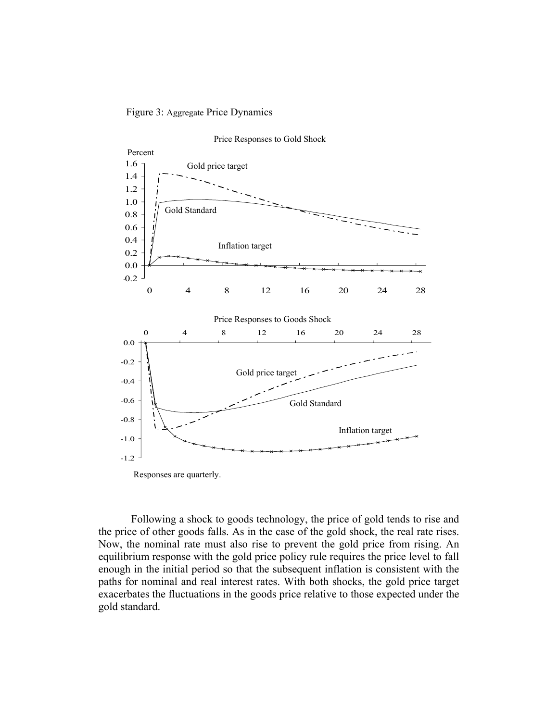



Responses are quarterly.

Following a shock to goods technology, the price of gold tends to rise and the price of other goods falls. As in the case of the gold shock, the real rate rises. Now, the nominal rate must also rise to prevent the gold price from rising. An equilibrium response with the gold price policy rule requires the price level to fall enough in the initial period so that the subsequent inflation is consistent with the paths for nominal and real interest rates. With both shocks, the gold price target exacerbates the fluctuations in the goods price relative to those expected under the gold standard.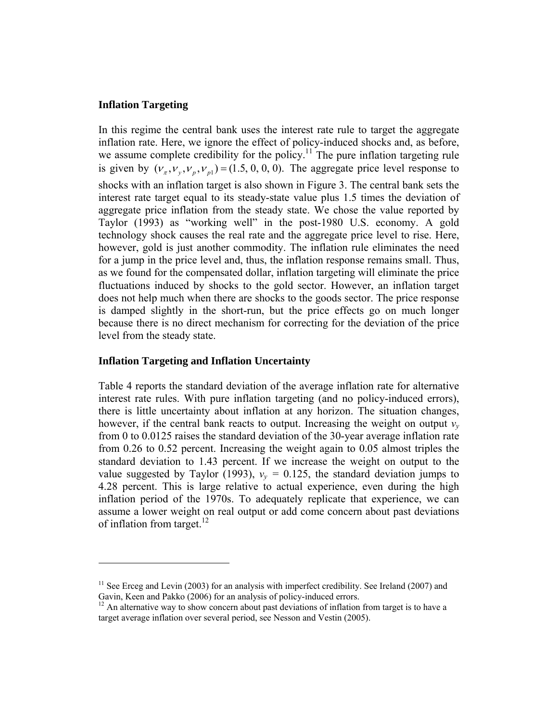# **Inflation Targeting**

 $\overline{a}$ 

In this regime the central bank uses the interest rate rule to target the aggregate inflation rate. Here, we ignore the effect of policy-induced shocks and, as before, we assume complete credibility for the policy.<sup>11</sup> The pure inflation targeting rule is given by  $(V_{\tau}, V_{\nu}, V_{\nu}, V_{\nu}) = (1.5, 0, 0, 0)$ . The aggregate price level response to shocks with an inflation target is also shown in Figure 3. The central bank sets the interest rate target equal to its steady-state value plus 1.5 times the deviation of aggregate price inflation from the steady state. We chose the value reported by Taylor (1993) as "working well" in the post-1980 U.S. economy. A gold technology shock causes the real rate and the aggregate price level to rise. Here, however, gold is just another commodity. The inflation rule eliminates the need for a jump in the price level and, thus, the inflation response remains small. Thus, as we found for the compensated dollar, inflation targeting will eliminate the price fluctuations induced by shocks to the gold sector. However, an inflation target does not help much when there are shocks to the goods sector. The price response is damped slightly in the short-run, but the price effects go on much longer because there is no direct mechanism for correcting for the deviation of the price level from the steady state.

# **Inflation Targeting and Inflation Uncertainty**

Table 4 reports the standard deviation of the average inflation rate for alternative interest rate rules. With pure inflation targeting (and no policy-induced errors), there is little uncertainty about inflation at any horizon. The situation changes, however, if the central bank reacts to output. Increasing the weight on output *ν<sup>y</sup>* from 0 to 0.0125 raises the standard deviation of the 30-year average inflation rate from 0.26 to 0.52 percent. Increasing the weight again to 0.05 almost triples the standard deviation to 1.43 percent. If we increase the weight on output to the value suggested by Taylor (1993),  $v_y = 0.125$ , the standard deviation jumps to 4.28 percent. This is large relative to actual experience, even during the high inflation period of the 1970s. To adequately replicate that experience, we can assume a lower weight on real output or add come concern about past deviations of inflation from target. $12$ 

 $11$  See Erceg and Levin (2003) for an analysis with imperfect credibility. See Ireland (2007) and Gavin, Keen and Pakko (2006) for an analysis of policy-induced errors.

 $12$  An alternative way to show concern about past deviations of inflation from target is to have a target average inflation over several period, see Nesson and Vestin (2005).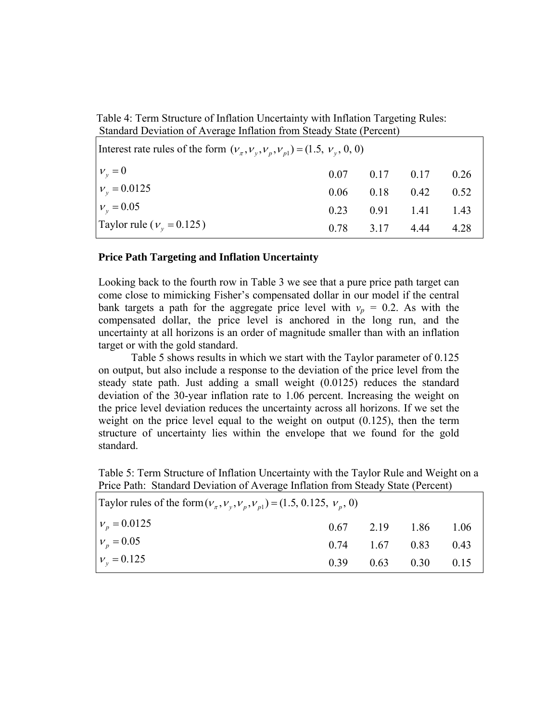Table 4: Term Structure of Inflation Uncertainty with Inflation Targeting Rules: Standard Deviation of Average Inflation from Steady State (Percent)

| Interest rate rules of the form $(v_{\pi}, v_{\nu}, v_{\nu}, v_{\nu}) = (1.5, v_{\nu}, 0, 0)$ |  |                      |                                |      |  |  |
|-----------------------------------------------------------------------------------------------|--|----------------------|--------------------------------|------|--|--|
| $v_v = 0$                                                                                     |  |                      | $0.07$ $0.17$ $0.17$ $0.26$    |      |  |  |
| $v_v = 0.0125$                                                                                |  | $0.06$ $0.18$ $0.42$ |                                | 0.52 |  |  |
| $v_v = 0.05$                                                                                  |  |                      | $0.23 \qquad 0.91 \qquad 1.41$ | 143  |  |  |
| Taylor rule ( $v_v = 0.125$ )                                                                 |  | $0.78$ $3.17$ $4.44$ |                                | 4.28 |  |  |

#### **Price Path Targeting and Inflation Uncertainty**

Looking back to the fourth row in Table 3 we see that a pure price path target can come close to mimicking Fisher's compensated dollar in our model if the central bank targets a path for the aggregate price level with  $v_p = 0.2$ . As with the compensated dollar, the price level is anchored in the long run, and the uncertainty at all horizons is an order of magnitude smaller than with an inflation target or with the gold standard.

 Table 5 shows results in which we start with the Taylor parameter of 0.125 on output, but also include a response to the deviation of the price level from the steady state path. Just adding a small weight (0.0125) reduces the standard deviation of the 30-year inflation rate to 1.06 percent. Increasing the weight on the price level deviation reduces the uncertainty across all horizons. If we set the weight on the price level equal to the weight on output (0.125), then the term structure of uncertainty lies within the envelope that we found for the gold standard.

Table 5: Term Structure of Inflation Uncertainty with the Taylor Rule and Weight on a Price Path: Standard Deviation of Average Inflation from Steady State (Percent)

| Taylor rules of the form $(v_{\pi}, v_{v}, v_{p}, v_{p1}) = (1.5, 0.125, v_{p}, 0)$ |  |  |                             |      |  |  |
|-------------------------------------------------------------------------------------|--|--|-----------------------------|------|--|--|
| $v_p = 0.0125$                                                                      |  |  | $0.67$ 2.19 1.86 1.06       |      |  |  |
| $v_p = 0.05$                                                                        |  |  | $0.74$ $1.67$ $0.83$        | 0.43 |  |  |
| $v_v = 0.125$                                                                       |  |  | $0.39$ $0.63$ $0.30$ $0.15$ |      |  |  |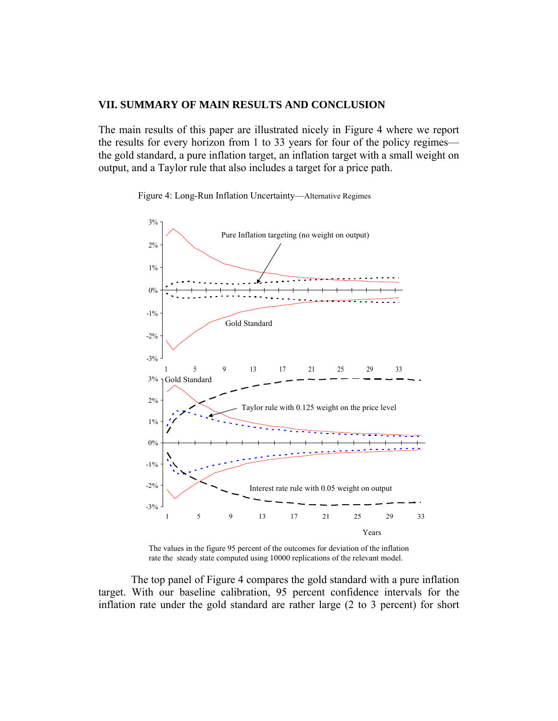#### **VII. SUMMARY OF MAIN RESULTS AND CONCLUSION**

The main results of this paper are illustrated nicely in Figure 4 where we report the results for every horizon from 1 to 33 years for four of the policy regimes the gold standard, a pure inflation target, an inflation target with a small weight on output, and a Taylor rule that also includes a target for a price path.

Figure 4: Long-Run Inflation Uncertainty—Alternative Regimes



The values in the figure 95 percent of the outcomes for deviation of the inflation rate the steady state computed using 10000 replications of the relevant model.

The top panel of Figure 4 compares the gold standard with a pure inflation target. With our baseline calibration, 95 percent confidence intervals for the inflation rate under the gold standard are rather large (2 to 3 percent) for short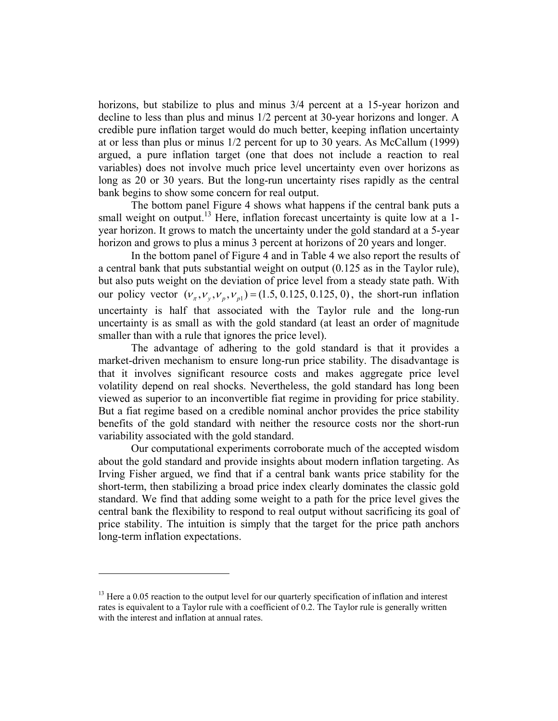horizons, but stabilize to plus and minus  $3/4$  percent at a 15-year horizon and decline to less than plus and minus 1/2 percent at 30-year horizons and longer. A credible pure inflation target would do much better, keeping inflation uncertainty at or less than plus or minus 1/2 percent for up to 30 years. As McCallum (1999) argued, a pure inflation target (one that does not include a reaction to real variables) does not involve much price level uncertainty even over horizons as long as 20 or 30 years. But the long-run uncertainty rises rapidly as the central bank begins to show some concern for real output.

The bottom panel Figure 4 shows what happens if the central bank puts a small weight on output.<sup>13</sup> Here, inflation forecast uncertainty is quite low at a 1year horizon. It grows to match the uncertainty under the gold standard at a 5-year horizon and grows to plus a minus 3 percent at horizons of 20 years and longer.

In the bottom panel of Figure 4 and in Table 4 we also report the results of a central bank that puts substantial weight on output (0.125 as in the Taylor rule), but also puts weight on the deviation of price level from a steady state path. With our policy vector  $(v_x, v_y, v_y, v_{y}) = (1.5, 0.125, 0.125, 0)$ , the short-run inflation uncertainty is half that associated with the Taylor rule and the long-run uncertainty is as small as with the gold standard (at least an order of magnitude smaller than with a rule that ignores the price level).

The advantage of adhering to the gold standard is that it provides a market-driven mechanism to ensure long-run price stability. The disadvantage is that it involves significant resource costs and makes aggregate price level volatility depend on real shocks. Nevertheless, the gold standard has long been viewed as superior to an inconvertible fiat regime in providing for price stability. But a fiat regime based on a credible nominal anchor provides the price stability benefits of the gold standard with neither the resource costs nor the short-run variability associated with the gold standard.

 Our computational experiments corroborate much of the accepted wisdom about the gold standard and provide insights about modern inflation targeting. As Irving Fisher argued, we find that if a central bank wants price stability for the short-term, then stabilizing a broad price index clearly dominates the classic gold standard. We find that adding some weight to a path for the price level gives the central bank the flexibility to respond to real output without sacrificing its goal of price stability. The intuition is simply that the target for the price path anchors long-term inflation expectations.

 $13$  Here a 0.05 reaction to the output level for our quarterly specification of inflation and interest rates is equivalent to a Taylor rule with a coefficient of 0.2. The Taylor rule is generally written with the interest and inflation at annual rates.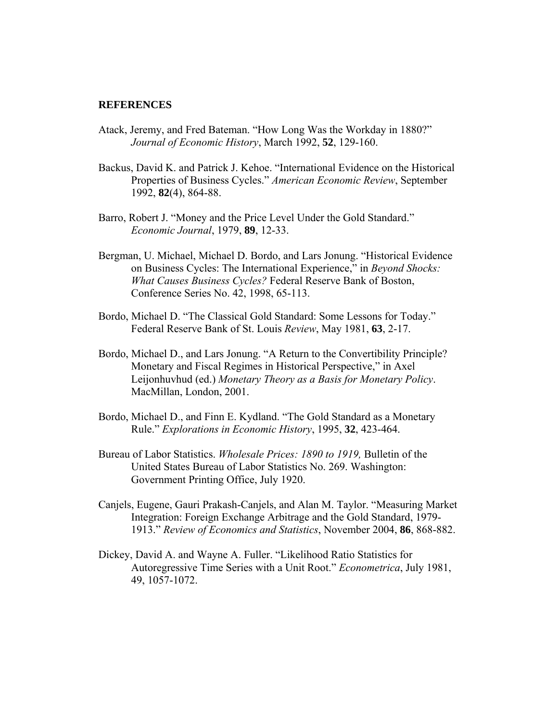#### **REFERENCES**

- Atack, Jeremy, and Fred Bateman. "How Long Was the Workday in 1880?" *Journal of Economic History*, March 1992, **52**, 129-160.
- Backus, David K. and Patrick J. Kehoe. "International Evidence on the Historical Properties of Business Cycles." *American Economic Review*, September 1992, **82**(4), 864-88.
- Barro, Robert J. "Money and the Price Level Under the Gold Standard." *Economic Journal*, 1979, **89**, 12-33.
- Bergman, U. Michael, Michael D. Bordo, and Lars Jonung. "Historical Evidence on Business Cycles: The International Experience," in *Beyond Shocks: What Causes Business Cycles?* Federal Reserve Bank of Boston, Conference Series No. 42, 1998, 65-113.
- Bordo, Michael D. "The Classical Gold Standard: Some Lessons for Today." Federal Reserve Bank of St. Louis *Review*, May 1981, **63**, 2-17.
- Bordo, Michael D., and Lars Jonung. "A Return to the Convertibility Principle? Monetary and Fiscal Regimes in Historical Perspective," in Axel Leijonhuvhud (ed.) *Monetary Theory as a Basis for Monetary Policy*. MacMillan, London, 2001.
- Bordo, Michael D., and Finn E. Kydland. "The Gold Standard as a Monetary Rule." *Explorations in Economic History*, 1995, **32**, 423-464.
- Bureau of Labor Statistics. *Wholesale Prices: 1890 to 1919,* Bulletin of the United States Bureau of Labor Statistics No. 269. Washington: Government Printing Office, July 1920.
- Canjels, Eugene, Gauri Prakash-Canjels, and Alan M. Taylor. "Measuring Market Integration: Foreign Exchange Arbitrage and the Gold Standard, 1979- 1913." *Review of Economics and Statistics*, November 2004, **86**, 868-882.
- Dickey, David A. and Wayne A. Fuller. "Likelihood Ratio Statistics for Autoregressive Time Series with a Unit Root." *Econometrica*, July 1981, 49, 1057-1072.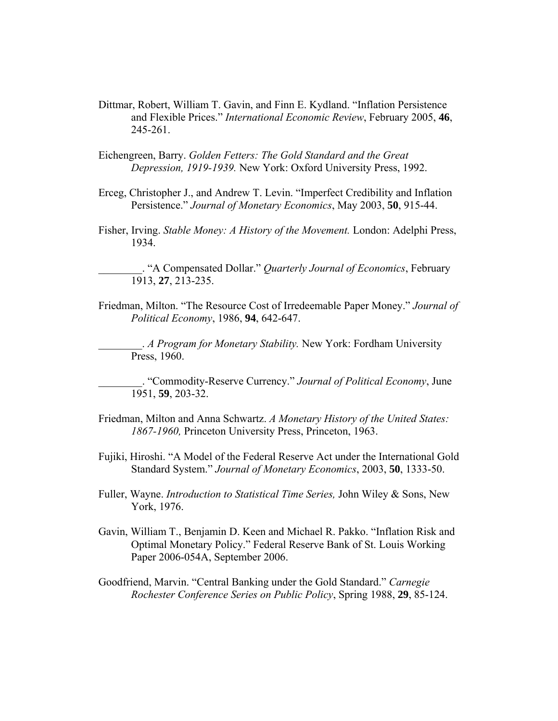- Dittmar, Robert, William T. Gavin, and Finn E. Kydland. "Inflation Persistence and Flexible Prices." *International Economic Review*, February 2005, **46**, 245-261.
- Eichengreen, Barry. *Golden Fetters: The Gold Standard and the Great Depression, 1919-1939.* New York: Oxford University Press, 1992.
- Erceg, Christopher J., and Andrew T. Levin. "Imperfect Credibility and Inflation Persistence." *Journal of Monetary Economics*, May 2003, **50**, 915-44.
- Fisher, Irving. *Stable Money: A History of the Movement.* London: Adelphi Press, 1934.

\_\_\_\_\_\_\_\_. "A Compensated Dollar." *Quarterly Journal of Economics*, February 1913, **27**, 213-235.

Friedman, Milton. "The Resource Cost of Irredeemable Paper Money." *Journal of Political Economy*, 1986, **94**, 642-647.

\_\_\_\_\_\_\_\_. *A Program for Monetary Stability.* New York: Fordham University Press, 1960.

\_\_\_\_\_\_\_\_. "Commodity-Reserve Currency." *Journal of Political Economy*, June 1951, **59**, 203-32.

- Friedman, Milton and Anna Schwartz. *A Monetary History of the United States: 1867-1960,* Princeton University Press, Princeton, 1963.
- Fujiki, Hiroshi. "A Model of the Federal Reserve Act under the International Gold Standard System." *Journal of Monetary Economics*, 2003, **50**, 1333-50.
- Fuller, Wayne. *Introduction to Statistical Time Series,* John Wiley & Sons, New York, 1976.
- Gavin, William T., Benjamin D. Keen and Michael R. Pakko. "Inflation Risk and Optimal Monetary Policy." Federal Reserve Bank of St. Louis Working Paper 2006-054A, September 2006.

Goodfriend, Marvin. "Central Banking under the Gold Standard." *Carnegie Rochester Conference Series on Public Policy*, Spring 1988, **29**, 85-124.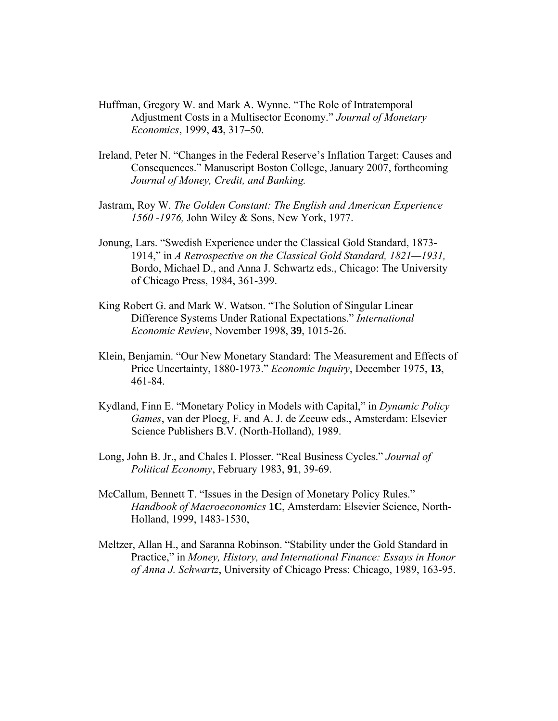- Huffman, Gregory W. and Mark A. Wynne. "The Role of Intratemporal Adjustment Costs in a Multisector Economy." *Journal of Monetary Economics*, 1999, **43**, 317–50.
- Ireland, Peter N. "Changes in the Federal Reserve's Inflation Target: Causes and Consequences." Manuscript Boston College, January 2007, forthcoming *Journal of Money, Credit, and Banking.*
- Jastram, Roy W. *The Golden Constant: The English and American Experience 1560 -1976,* John Wiley & Sons, New York, 1977.
- Jonung, Lars. "Swedish Experience under the Classical Gold Standard, 1873- 1914," in *A Retrospective on the Classical Gold Standard, 1821—1931,*  Bordo, Michael D., and Anna J. Schwartz eds., Chicago: The University of Chicago Press, 1984, 361-399.
- King Robert G. and Mark W. Watson. "The Solution of Singular Linear Difference Systems Under Rational Expectations." *International Economic Review*, November 1998, **39**, 1015-26.
- Klein, Benjamin. "Our New Monetary Standard: The Measurement and Effects of Price Uncertainty, 1880-1973." *Economic Inquiry*, December 1975, **13**, 461-84.
- Kydland, Finn E. "Monetary Policy in Models with Capital," in *Dynamic Policy Games*, van der Ploeg, F. and A. J. de Zeeuw eds., Amsterdam: Elsevier Science Publishers B.V. (North-Holland), 1989.
- Long, John B. Jr., and Chales I. Plosser. "Real Business Cycles." *Journal of Political Economy*, February 1983, **91**, 39-69.
- McCallum, Bennett T. "Issues in the Design of Monetary Policy Rules." *Handbook of Macroeconomics* **1C**, Amsterdam: Elsevier Science, North-Holland, 1999, 1483-1530,
- Meltzer, Allan H., and Saranna Robinson. "Stability under the Gold Standard in Practice," in *Money, History, and International Finance: Essays in Honor of Anna J. Schwartz*, University of Chicago Press: Chicago, 1989, 163-95.